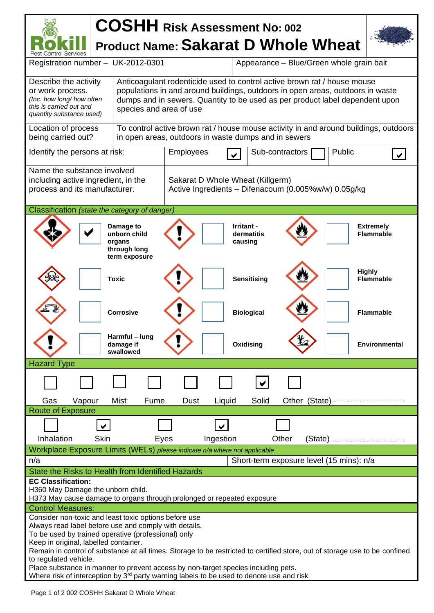## **COSHH Risk Assessment No: <sup>002</sup> Product Name: Sakarat D Whole Wheat**  Pest Control Services Registration number – UK-2012-0301 Appearance – Blue/Green whole grain bait Anticoagulant rodenticide used to control active brown rat / house mouse Describe the activity or work process. populations in and around buildings, outdoors in open areas, outdoors in waste *(Inc. how long/ how often*  dumps and in sewers. Quantity to be used as per product label dependent upon *this is carried out and*  species and area of use *quantity substance used)* Location of process To control active brown rat / house mouse activity in and around buildings, outdoors being carried out? in open areas, outdoors in waste dumps and in sewers Identify the persons at risk:  $\vert$  Employees  $\vert$  Sub-contractors  $\vert$  Public Sub-contractors Name the substance involved including active ingredient, in the Sakarat D Whole Wheat (Killgerm) process and its manufacturer. Active Ingredients – Difenacoum (0.005%w/w) 0.05g/kg Classification *(state the category of danger)*  $\overline{\blacktriangledown}$ **Damage to Irritant - Extremely unborn child dermatitis Flammable organs causing through long term exposure Highly Flammable** Toxic **Sensitising Corrosive Constant Constant Constant Constant Plammable Harmful – lung Oxidising \这/** | Environmental **damage if swallowed** Hazard Type  $\vee$  Gas Vapour Mist Fume Dust Liquid Solid Other (State) Route of Exposure Inhalation Skin Eyes Ingestion Other (State) Workplace Exposure Limits (WELs) *please indicate n/a where not applicable* n/a Short-term exposure level (15 mins): n/a State the Risks to Health from Identified Hazards **EC Classification:** H360 May Damage the unborn child. H373 May cause damage to organs through prolonged or repeated exposure Control Measures: Consider non-toxic and least toxic options before use Always read label before use and comply with details. To be used by trained operative (professional) only Keep in original, labelled container. Remain in control of substance at all times. Storage to be restricted to certified store, out of storage use to be confined to regulated vehicle. Place substance in manner to prevent access by non-target species including pets.

Where risk of interception by  $3<sup>rd</sup>$  party warning labels to be used to denote use and risk